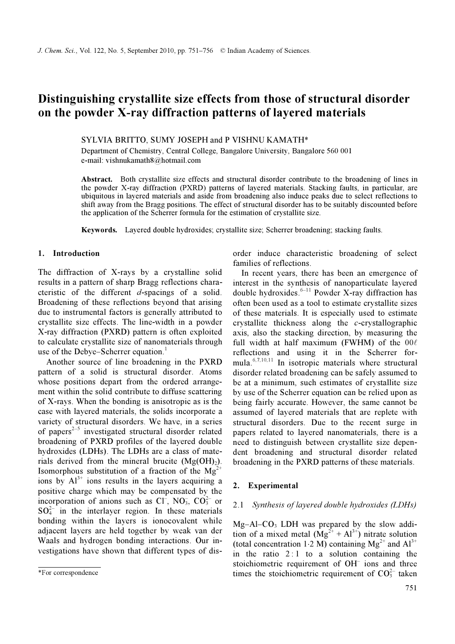# Distinguishing crystallite size effects from those of structural disorder on the powder X-ray diffraction patterns of layered materials

## SYLVIA BRITTO, SUMY JOSEPH and P VISHNU KAMATH\*

Department of Chemistry, Central College, Bangalore University, Bangalore 560 001 e-mail: vishnukamath8@hotmail.com

Abstract. Both crystallite size effects and structural disorder contribute to the broadening of lines in the powder X-ray diffraction (PXRD) patterns of layered materials. Stacking faults, in particular, are ubiquitous in layered materials and aside from broadening also induce peaks due to select reflections to shift away from the Bragg positions. The effect of structural disorder has to be suitably discounted before the application of the Scherrer formula for the estimation of crystallite size.

Keywords. Layered double hydroxides; crystallite size; Scherrer broadening; stacking faults.

### 1. Introduction

The diffraction of X-rays by a crystalline solid results in a pattern of sharp Bragg reflections characteristic of the different d-spacings of a solid. Broadening of these reflections beyond that arising due to instrumental factors is generally attributed to crystallite size effects. The line-width in a powder X-ray diffraction (PXRD) pattern is often exploited to calculate crystallite size of nanomaterials through use of the Debye–Scherrer equation.<sup>1</sup>

 Another source of line broadening in the PXRD pattern of a solid is structural disorder. Atoms whose positions depart from the ordered arrangement within the solid contribute to diffuse scattering of X-rays. When the bonding is anisotropic as is the case with layered materials, the solids incorporate a variety of structural disorders. We have, in a series of papers<sup> $2-5$ </sup> investigated structural disorder related broadening of PXRD profiles of the layered double hydroxides (LDHs). The LDHs are a class of materials derived from the mineral brucite  $(Mg(OH<sub>2</sub>)).$ Isomorphous substitution of a fraction of the  $Mg^{2+}$ ions by  $Al^{3+}$  ions results in the layers acquiring a positive charge which may be compensated by the incorporation of anions such as  $CI^{-}$ ,  $NO<sub>3</sub>$ ,  $CO<sub>3</sub><sup>2</sup>$  or  $SO_4^{2-}$  in the interlayer region. In these materials bonding within the layers is ionocovalent while adjacent layers are held together by weak van der Waals and hydrogen bonding interactions. Our investigations have shown that different types of disorder induce characteristic broadening of select families of reflections.

 In recent years, there has been an emergence of interest in the synthesis of nanoparticulate layered double hydroxides. $6-11$  Powder X-ray diffraction has often been used as a tool to estimate crystallite sizes of these materials. It is especially used to estimate crystallite thickness along the c-crystallographic axis, also the stacking direction, by measuring the full width at half maximum (FWHM) of the  $00\ell$ reflections and using it in the Scherrer formula.6,7,10,11 In isotropic materials where structural disorder related broadening can be safely assumed to be at a minimum, such estimates of crystallite size by use of the Scherrer equation can be relied upon as being fairly accurate. However, the same cannot be assumed of layered materials that are replete with structural disorders. Due to the recent surge in papers related to layered nanomaterials, there is a need to distinguish between crystallite size dependent broadening and structural disorder related broadening in the PXRD patterns of these materials.

## 2. Experimental

#### 2.1 Synthesis of layered double hydroxides (LDHs)

Mg-Al-CO<sub>3</sub> LDH was prepared by the slow addition of a mixed metal  $(Mg^{2+} + Al^{3+})$  nitrate solution (total concentration 1⋅2 M) containing  $Mg^{2+}$  and  $Al^{3+}$ in the ratio  $2:1$  to a solution containing the stoichiometric requirement of OH– ions and three times the stoichiometric requirement of  $CO_3^{2-}$  taken

<sup>\*</sup>For correspondence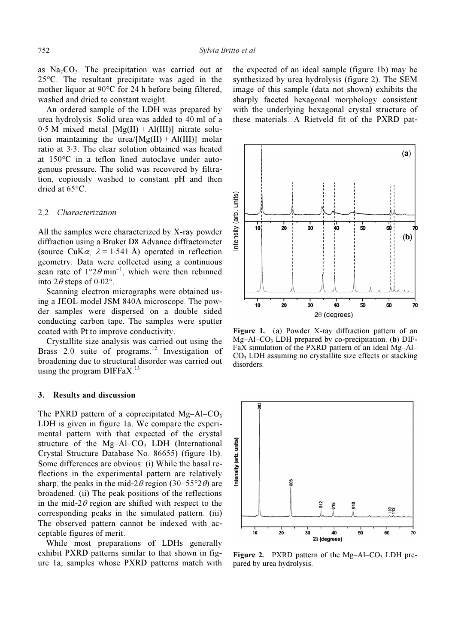as  $Na<sub>2</sub>CO<sub>3</sub>$ . The precipitation was carried out at <sup>25</sup>°C. The resultant precipitate was aged in the mother liquor at 90°C for 24 h before being filtered, washed and dried to constant weight.

 An ordered sample of the LDH was prepared by urea hydrolysis. Solid urea was added to 40 ml of a  $0.5$  M mixed metal  $[Mg(II) + Al(III)]$  nitrate solution maintaining the urea/ $[Mg(II) + Al(III)]$  molar ratio at 3⋅3. The clear solution obtained was heated at 150°C in a teflon lined autoclave under autogenous pressure. The solid was recovered by filtration, copiously washed to constant pH and then dried at 65°C.

### 2.2 Characterization

All the samples were characterized by X-ray powder diffraction using a Bruker D8 Advance diffractometer (source CuK $\alpha$ ,  $\lambda$  = 1⋅541 Å) operated in reflection geometry. Data were collected using a continuous scan rate of  $1^{\circ}2\theta$  min<sup>-1</sup>, which were then rebinned into  $2\theta$  steps of  $0.02^{\circ}$ .

 Scanning electron micrographs were obtained using a JEOL model JSM 840A microscope. The powder samples were dispersed on a double sided conducting carbon tape. The samples were sputter coated with Pt to improve conductivity.

 Crystallite size analysis was carried out using the Brass 2.0 suite of programs.<sup>12</sup> Investigation of broadening due to structural disorder was carried out using the program  $DIFFAX<sup>13</sup>$ 

#### 3. Results and discussion

The PXRD pattern of a coprecipitated  $Mg-AI-CO<sub>3</sub>$ LDH is given in figure 1a. We compare the experimental pattern with that expected of the crystal structure of the  $Mg-AI-CO<sub>3</sub>$  LDH (International Crystal Structure Database No. 86655) (figure 1b). Some differences are obvious: (i) While the basal reflections in the experimental pattern are relatively sharp, the peaks in the mid-2 $\theta$  region (30–55°2 $\theta$ ) are broadened. (ii) The peak positions of the reflections in the mid-2 $\theta$  region are shifted with respect to the corresponding peaks in the simulated pattern. (iii) The observed pattern cannot be indexed with acceptable figures of merit.

 While most preparations of LDHs generally exhibit PXRD patterns similar to that shown in figure 1a, samples whose PXRD patterns match with the expected of an ideal sample (figure 1b) may be synthesized by urea hydrolysis (figure 2). The SEM image of this sample (data not shown) exhibits the sharply faceted hexagonal morphology consistent with the underlying hexagonal crystal structure of these materials. A Rietveld fit of the PXRD pat-



Figure 1. (a) Powder X-ray diffraction pattern of an  $Mg-AI-CO<sub>3</sub>$  LDH prepared by co-precipitation. (b) DIF-FaX simulation of the PXRD pattern of an ideal Mg–Al–  $CO<sub>3</sub>$  LDH assuming no crystallite size effects or stacking disorders.



**Figure 2.** PXRD pattern of the  $Mg-AI-CO<sub>3</sub>$  LDH prepared by urea hydrolysis.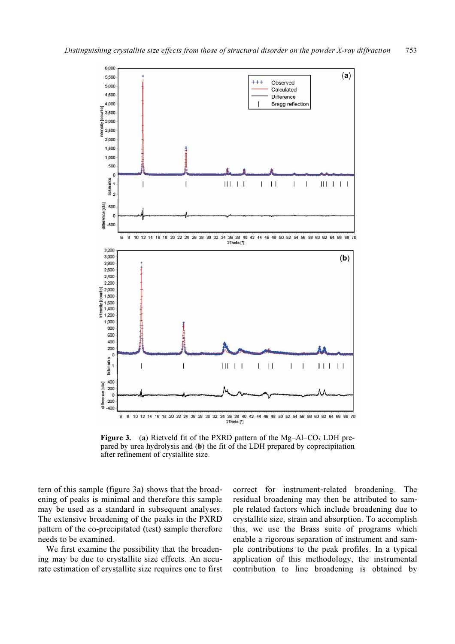

**Figure 3.** (a) Rietveld fit of the PXRD pattern of the Mg–Al–CO<sub>3</sub> LDH prepared by urea hydrolysis and (b) the fit of the LDH prepared by coprecipitation after refinement of crystallite size.

tern of this sample (figure 3a) shows that the broadening of peaks is minimal and therefore this sample may be used as a standard in subsequent analyses. The extensive broadening of the peaks in the PXRD pattern of the co-precipitated (test) sample therefore needs to be examined.

 We first examine the possibility that the broadening may be due to crystallite size effects. An accurate estimation of crystallite size requires one to first

correct for instrument-related broadening. The residual broadening may then be attributed to sample related factors which include broadening due to crystallite size, strain and absorption. To accomplish this, we use the Brass suite of programs which enable a rigorous separation of instrument and sample contributions to the peak profiles. In a typical application of this methodology, the instrumental contribution to line broadening is obtained by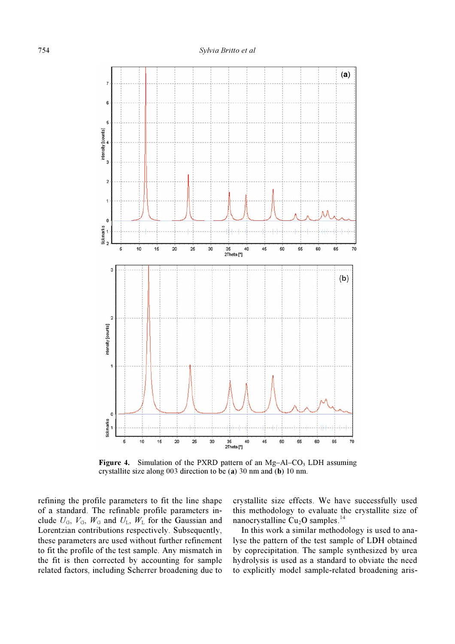

**Figure 4.** Simulation of the PXRD pattern of an Mg–Al–CO<sub>3</sub> LDH assuming crystallite size along 003 direction to be (a) 30 nm and (b) 10 nm.

refining the profile parameters to fit the line shape of a standard. The refinable profile parameters include  $U_{\text{G}}$ ,  $V_{\text{G}}$ ,  $W_{\text{G}}$  and  $U_{\text{L}}$ ,  $W_{\text{L}}$  for the Gaussian and Lorentzian contributions respectively. Subsequently, these parameters are used without further refinement to fit the profile of the test sample. Any mismatch in the fit is then corrected by accounting for sample related factors, including Scherrer broadening due to

crystallite size effects. We have successfully used this methodology to evaluate the crystallite size of nanocrystalline  $Cu<sub>2</sub>O$  samples.<sup>14</sup>

 In this work a similar methodology is used to analyse the pattern of the test sample of LDH obtained by coprecipitation. The sample synthesized by urea hydrolysis is used as a standard to obviate the need to explicitly model sample-related broadening aris-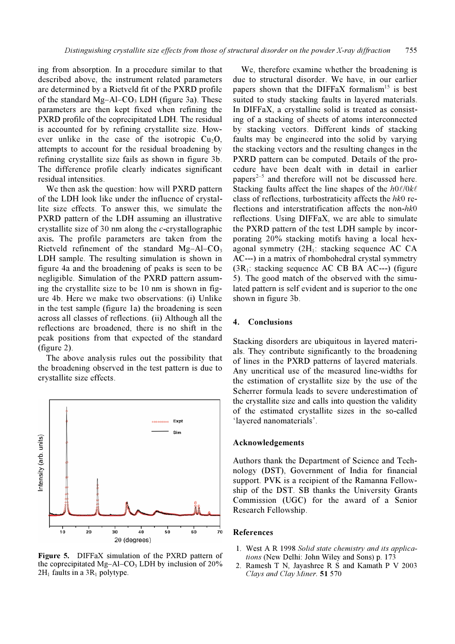ing from absorption. In a procedure similar to that described above, the instrument related parameters are determined by a Rietveld fit of the PXRD profile of the standard  $Mg-AI-CO<sub>3</sub> LDH$  (figure 3a). These parameters are then kept fixed when refining the PXRD profile of the coprecipitated LDH. The residual is accounted for by refining crystallite size. However unlike in the case of the isotropic  $Cu<sub>2</sub>O$ , attempts to account for the residual broadening by refining crystallite size fails as shown in figure 3b. The difference profile clearly indicates significant residual intensities.

 We then ask the question: how will PXRD pattern of the LDH look like under the influence of crystallite size effects. To answer this, we simulate the PXRD pattern of the LDH assuming an illustrative crystallite size of 30 nm along the  $c$ -crystallographic axis. The profile parameters are taken from the Rietveld refinement of the standard  $Mg-AI-CO<sub>3</sub>$ LDH sample. The resulting simulation is shown in figure 4a and the broadening of peaks is seen to be negligible. Simulation of the PXRD pattern assuming the crystallite size to be 10 nm is shown in figure 4b. Here we make two observations: (i) Unlike in the test sample (figure 1a) the broadening is seen across all classes of reflections. (ii) Although all the reflections are broadened, there is no shift in the peak positions from that expected of the standard (figure 2).

 The above analysis rules out the possibility that the broadening observed in the test pattern is due to crystallite size effects.



Figure 5. DIFFaX simulation of the PXRD pattern of the coprecipitated Mg–Al–CO<sub>3</sub> LDH by inclusion of  $20\%$  $2H_1$  faults in a  $3R_1$  polytype.

 We, therefore examine whether the broadening is due to structural disorder. We have, in our earlier papers shown that the DIFFaX formalism<sup>15</sup> is best suited to study stacking faults in layered materials. In DIFFaX, a crystalline solid is treated as consisting of a stacking of sheets of atoms interconnected by stacking vectors. Different kinds of stacking faults may be engineered into the solid by varying the stacking vectors and the resulting changes in the PXRD pattern can be computed. Details of the procedure have been dealt with in detail in earlier papers<sup> $2-5$ </sup> and therefore will not be discussed here. Stacking faults affect the line shapes of the  $h0\ell/0k\ell$ class of reflections, turbostraticity affects the hk0 reflections and interstratification affects the non-hk0 reflections. Using DIFFaX, we are able to simulate the PXRD pattern of the test LDH sample by incorporating 20% stacking motifs having a local hexagonal symmetry  $(2H_1:$  stacking sequence AC CA AC---) in a matrix of rhombohedral crystal symmetry  $(3R_1:$  stacking sequence AC CB BA AC---) (figure 5). The good match of the observed with the simulated pattern is self evident and is superior to the one shown in figure 3b.

## 4. Conclusions

Stacking disorders are ubiquitous in layered materials. They contribute significantly to the broadening of lines in the PXRD patterns of layered materials. Any uncritical use of the measured line-widths for the estimation of crystallite size by the use of the Scherrer formula leads to severe underestimation of the crystallite size and calls into question the validity of the estimated crystallite sizes in the so-called 'layered nanomaterials'.

## Acknowledgements

Authors thank the Department of Science and Technology (DST), Government of India for financial support. PVK is a recipient of the Ramanna Fellowship of the DST. SB thanks the University Grants Commission (UGC) for the award of a Senior Research Fellowship.

### References

- 1. West A R 1998 Solid state chemistry and its applications (New Delhi: John Wiley and Sons) p. 173
- 2. Ramesh T N, Jayashree R S and Kamath P V 2003 Clays and Clay Miner. 51 570